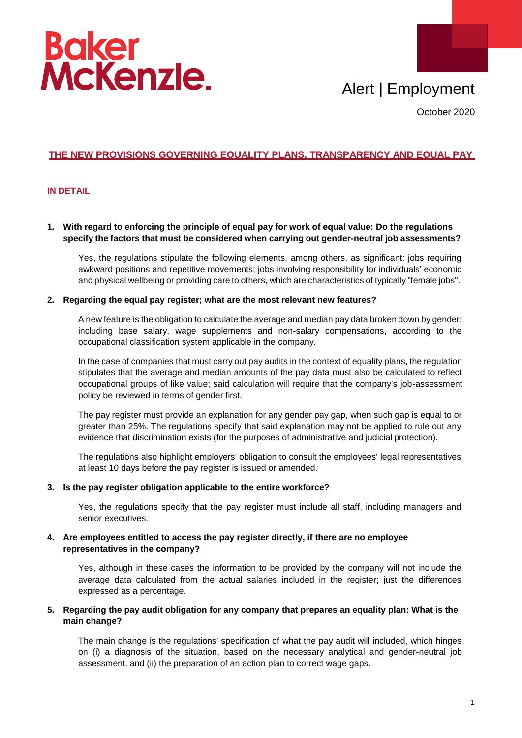

# Alert | Employment

October 2020

## **THE NEW PROVISIONS GOVERNING EQUALITY PLANS, TRANSPARENCY AND EQUAL PAY**

#### **IN DETAIL**

#### **1. With regard to enforcing the principle of equal pay for work of equal value: Do the regulations specify the factors that must be considered when carrying out gender-neutral job assessments?**

Yes, the regulations stipulate the following elements, among others, as significant: jobs requiring awkward positions and repetitive movements; jobs involving responsibility for individuals' economic and physical wellbeing or providing care to others, which are characteristics of typically "female jobs".

#### **2. Regarding the equal pay register; what are the most relevant new features?**

A new feature is the obligation to calculate the average and median pay data broken down by gender; including base salary, wage supplements and non-salary compensations, according to the occupational classification system applicable in the company.

In the case of companies that must carry out pay audits in the context of equality plans, the regulation stipulates that the average and median amounts of the pay data must also be calculated to reflect occupational groups of like value; said calculation will require that the company's job-assessment policy be reviewed in terms of gender first.

The pay register must provide an explanation for any gender pay gap, when such gap is equal to or greater than 25%. The regulations specify that said explanation may not be applied to rule out any evidence that discrimination exists (for the purposes of administrative and judicial protection).

The regulations also highlight employers' obligation to consult the employees' legal representatives at least 10 days before the pay register is issued or amended.

#### **3. Is the pay register obligation applicable to the entire workforce?**

Yes, the regulations specify that the pay register must include all staff, including managers and senior executives.

#### **4. Are employees entitled to access the pay register directly, if there are no employee representatives in the company?**

Yes, although in these cases the information to be provided by the company will not include the average data calculated from the actual salaries included in the register; just the differences expressed as a percentage.

#### **5. Regarding the pay audit obligation for any company that prepares an equality plan: What is the main change?**

The main change is the regulations' specification of what the pay audit will included, which hinges on (i) a diagnosis of the situation, based on the necessary analytical and gender-neutral job assessment, and (ii) the preparation of an action plan to correct wage gaps.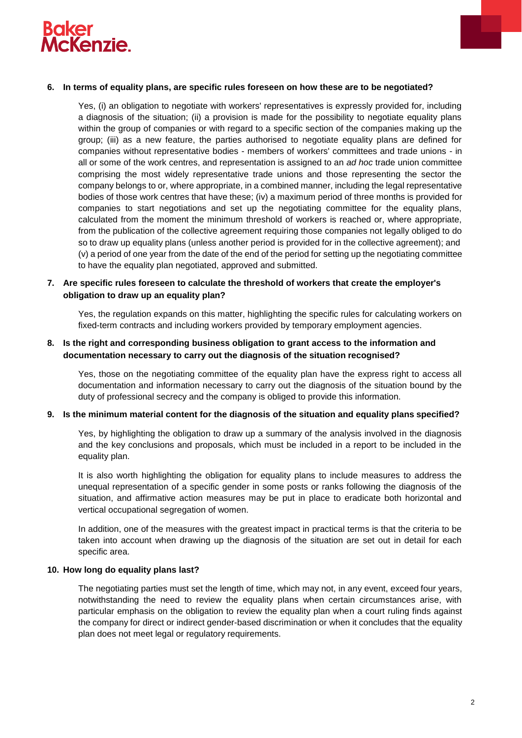



Yes, (i) an obligation to negotiate with workers' representatives is expressly provided for, including a diagnosis of the situation; (ii) a provision is made for the possibility to negotiate equality plans within the group of companies or with regard to a specific section of the companies making up the group; (iii) as a new feature, the parties authorised to negotiate equality plans are defined for companies without representative bodies - members of workers' committees and trade unions - in all or some of the work centres, and representation is assigned to an *ad hoc* trade union committee comprising the most widely representative trade unions and those representing the sector the company belongs to or, where appropriate, in a combined manner, including the legal representative bodies of those work centres that have these; (iv) a maximum period of three months is provided for companies to start negotiations and set up the negotiating committee for the equality plans, calculated from the moment the minimum threshold of workers is reached or, where appropriate, from the publication of the collective agreement requiring those companies not legally obliged to do so to draw up equality plans (unless another period is provided for in the collective agreement); and (v) a period of one year from the date of the end of the period for setting up the negotiating committee to have the equality plan negotiated, approved and submitted.

### **7. Are specific rules foreseen to calculate the threshold of workers that create the employer's obligation to draw up an equality plan?**

Yes, the regulation expands on this matter, highlighting the specific rules for calculating workers on fixed-term contracts and including workers provided by temporary employment agencies.

#### **8. Is the right and corresponding business obligation to grant access to the information and documentation necessary to carry out the diagnosis of the situation recognised?**

Yes, those on the negotiating committee of the equality plan have the express right to access all documentation and information necessary to carry out the diagnosis of the situation bound by the duty of professional secrecy and the company is obliged to provide this information.

#### **9. Is the minimum material content for the diagnosis of the situation and equality plans specified?**

Yes, by highlighting the obligation to draw up a summary of the analysis involved in the diagnosis and the key conclusions and proposals, which must be included in a report to be included in the equality plan.

It is also worth highlighting the obligation for equality plans to include measures to address the unequal representation of a specific gender in some posts or ranks following the diagnosis of the situation, and affirmative action measures may be put in place to eradicate both horizontal and vertical occupational segregation of women.

In addition, one of the measures with the greatest impact in practical terms is that the criteria to be taken into account when drawing up the diagnosis of the situation are set out in detail for each specific area.

#### **10. How long do equality plans last?**

The negotiating parties must set the length of time, which may not, in any event, exceed four years, notwithstanding the need to review the equality plans when certain circumstances arise, with particular emphasis on the obligation to review the equality plan when a court ruling finds against the company for direct or indirect gender-based discrimination or when it concludes that the equality plan does not meet legal or regulatory requirements.